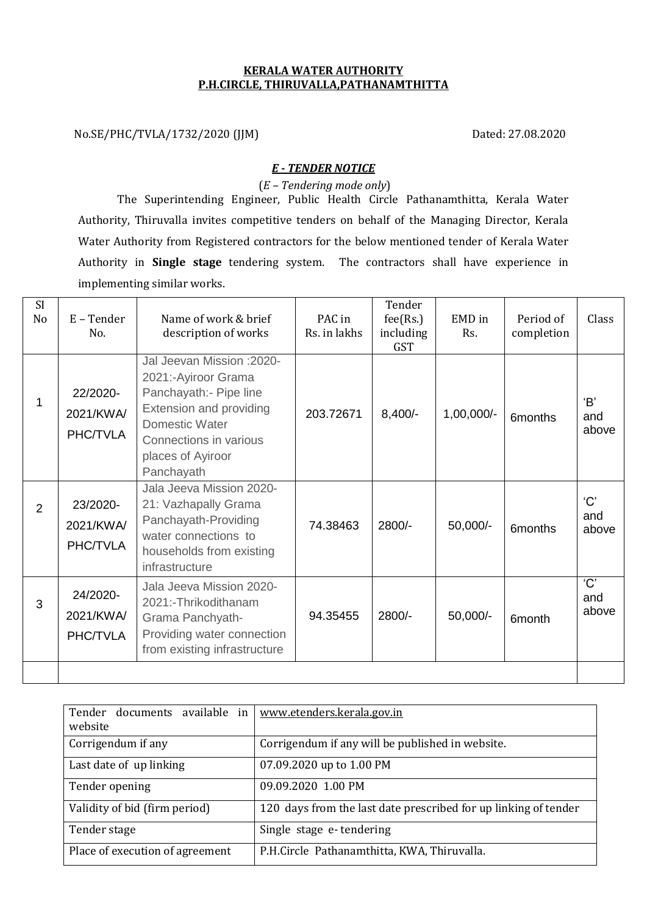## **KERALA WATER AUTHORITY P.H.CIRCLE, THIRUVALLA,PATHANAMTHITTA**

No.SE/PHC/TVLA/1732/2020 (JJM) Dated: 27.08.2020

## *E - TENDER NOTICE*

(*E – Tendering mode only*)

The Superintending Engineer, Public Health Circle Pathanamthitta, Kerala Water Authority, Thiruvalla invites competitive tenders on behalf of the Managing Director, Kerala Water Authority from Registered contractors for the below mentioned tender of Kerala Water Authority in **Single stage** tendering system. The contractors shall have experience in implementing similar works.

| SI<br>No       | $E$ – Tender<br>No.               | Name of work & brief<br>description of works                                                                                                                                                 | PAC in<br>Rs. in lakhs | Tender<br>fee(Rs.)<br>including<br><b>GST</b> | EMD in<br>Rs. | Period of<br>completion | Class               |
|----------------|-----------------------------------|----------------------------------------------------------------------------------------------------------------------------------------------------------------------------------------------|------------------------|-----------------------------------------------|---------------|-------------------------|---------------------|
| 1              | 22/2020-<br>2021/KWA/<br>PHC/TVLA | Jal Jeevan Mission : 2020-<br>2021:-Ayiroor Grama<br>Panchayath:- Pipe line<br>Extension and providing<br><b>Domestic Water</b><br>Connections in various<br>places of Ayiroor<br>Panchayath | 203.72671              | $8,400/-$                                     | 1,00,000/-    | 6months                 | 'B'<br>and<br>above |
| $\overline{2}$ | 23/2020-<br>2021/KWA/<br>PHC/TVLA | Jala Jeeva Mission 2020-<br>21: Vazhapally Grama<br>Panchayath-Providing<br>water connections to<br>households from existing<br>infrastructure                                               | 74.38463               | 2800/-                                        | 50,000/-      | 6months                 | 'C'<br>and<br>above |
| 3              | 24/2020-<br>2021/KWA/<br>PHC/TVLA | Jala Jeeva Mission 2020-<br>2021:-Thrikodithanam<br>Grama Panchyath-<br>Providing water connection<br>from existing infrastructure                                                           | 94.35455               | 2800/-                                        | 50,000/-      | 6 <sub>month</sub>      | 'C'<br>and<br>above |
|                |                                   |                                                                                                                                                                                              |                        |                                               |               |                         |                     |

| Tender documents available in   | www.etenders.kerala.gov.in                                      |  |  |  |
|---------------------------------|-----------------------------------------------------------------|--|--|--|
| website                         |                                                                 |  |  |  |
| Corrigendum if any              | Corrigendum if any will be published in website.                |  |  |  |
| Last date of up linking         | 07.09.2020 up to 1.00 PM                                        |  |  |  |
| Tender opening                  | 09.09.2020 1.00 PM                                              |  |  |  |
| Validity of bid (firm period)   | 120 days from the last date prescribed for up linking of tender |  |  |  |
| Tender stage                    | Single stage e-tendering                                        |  |  |  |
| Place of execution of agreement | P.H.Circle Pathanamthitta, KWA, Thiruvalla.                     |  |  |  |